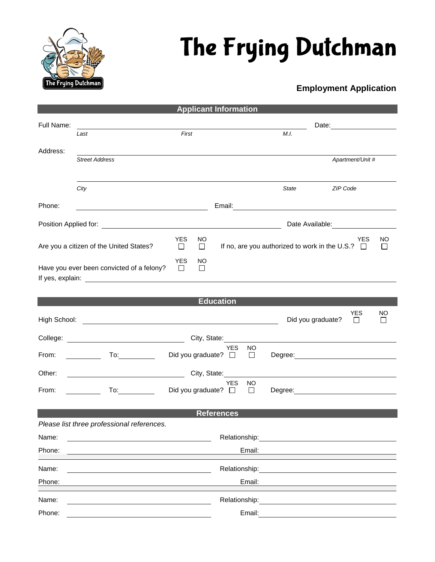

## The Frying Dutchman

## **Employment Application**

|                                                                                  |                                                                                                                                                                                                                                |                                                                                                                                                                                                                                | <b>Applicant Information</b>                                                               |                |                   |                                                |              |  |  |  |
|----------------------------------------------------------------------------------|--------------------------------------------------------------------------------------------------------------------------------------------------------------------------------------------------------------------------------|--------------------------------------------------------------------------------------------------------------------------------------------------------------------------------------------------------------------------------|--------------------------------------------------------------------------------------------|----------------|-------------------|------------------------------------------------|--------------|--|--|--|
| Full Name:                                                                       |                                                                                                                                                                                                                                | Date: the contract of the contract of the contract of the contract of the contract of the contract of the contract of the contract of the contract of the contract of the contract of the contract of the contract of the cont |                                                                                            |                |                   |                                                |              |  |  |  |
|                                                                                  | Last                                                                                                                                                                                                                           | First                                                                                                                                                                                                                          |                                                                                            |                | M.I.              |                                                |              |  |  |  |
| Address:                                                                         | <b>Street Address</b>                                                                                                                                                                                                          |                                                                                                                                                                                                                                |                                                                                            |                |                   | Apartment/Unit #                               |              |  |  |  |
|                                                                                  |                                                                                                                                                                                                                                |                                                                                                                                                                                                                                |                                                                                            |                |                   |                                                |              |  |  |  |
|                                                                                  | City                                                                                                                                                                                                                           |                                                                                                                                                                                                                                |                                                                                            |                | State             | ZIP Code                                       |              |  |  |  |
| Phone:                                                                           | <u> 1989 - Johann Barn, mars eta bainar eta idazlea (</u>                                                                                                                                                                      |                                                                                                                                                                                                                                |                                                                                            |                |                   |                                                |              |  |  |  |
|                                                                                  |                                                                                                                                                                                                                                |                                                                                                                                                                                                                                |                                                                                            |                |                   |                                                |              |  |  |  |
| <b>YES</b><br>NO.<br>Are you a citizen of the United States?<br>$\Box$<br>$\Box$ |                                                                                                                                                                                                                                |                                                                                                                                                                                                                                | <b>YES</b><br><b>NO</b><br>If no, are you authorized to work in the U.S.? $\Box$<br>$\Box$ |                |                   |                                                |              |  |  |  |
|                                                                                  | Have you ever been convicted of a felony?                                                                                                                                                                                      | <b>YES</b><br>ΝO<br>$\Box$<br>□                                                                                                                                                                                                |                                                                                            |                |                   |                                                |              |  |  |  |
|                                                                                  |                                                                                                                                                                                                                                |                                                                                                                                                                                                                                |                                                                                            |                |                   |                                                |              |  |  |  |
| <b>Education</b><br><b>YES</b><br>NO                                             |                                                                                                                                                                                                                                |                                                                                                                                                                                                                                |                                                                                            |                |                   |                                                |              |  |  |  |
| High School:                                                                     | <u> 1989 - Johann Stein, fransk kampens og det forskellige og det forskellige og det forskellige og det forskellig</u>                                                                                                         |                                                                                                                                                                                                                                |                                                                                            |                | Did you graduate? | $\Box$                                         | $\mathsf{L}$ |  |  |  |
| City, State:                                                                     |                                                                                                                                                                                                                                |                                                                                                                                                                                                                                |                                                                                            |                |                   |                                                |              |  |  |  |
| From:                                                                            | To:___________                                                                                                                                                                                                                 | Did you graduate? $\square$                                                                                                                                                                                                    | <b>YES</b>                                                                                 | <b>NO</b><br>□ |                   | Degree: <u>_______________________________</u> |              |  |  |  |
| Other:                                                                           |                                                                                                                                                                                                                                |                                                                                                                                                                                                                                | City, State:                                                                               |                |                   |                                                |              |  |  |  |
| From:                                                                            | To: the contract of the contract of the contract of the contract of the contract of the contract of the contract of the contract of the contract of the contract of the contract of the contract of the contract of the contra | Did you graduate? $\square$                                                                                                                                                                                                    | <b>YES</b>                                                                                 | NO.<br>$\Box$  |                   | Degree: <u>______________________________</u>  |              |  |  |  |
| <b>References</b>                                                                |                                                                                                                                                                                                                                |                                                                                                                                                                                                                                |                                                                                            |                |                   |                                                |              |  |  |  |
|                                                                                  | Please list three professional references.                                                                                                                                                                                     |                                                                                                                                                                                                                                |                                                                                            |                |                   |                                                |              |  |  |  |
| Name:                                                                            |                                                                                                                                                                                                                                | Relationship:                                                                                                                                                                                                                  |                                                                                            |                |                   |                                                |              |  |  |  |
| Phone:                                                                           |                                                                                                                                                                                                                                | Email:                                                                                                                                                                                                                         |                                                                                            |                |                   |                                                |              |  |  |  |
| Name:                                                                            |                                                                                                                                                                                                                                | Relationship:                                                                                                                                                                                                                  |                                                                                            |                |                   |                                                |              |  |  |  |
| Phone:                                                                           |                                                                                                                                                                                                                                | Email:                                                                                                                                                                                                                         |                                                                                            |                |                   |                                                |              |  |  |  |
| Name:                                                                            |                                                                                                                                                                                                                                |                                                                                                                                                                                                                                | Relationship:                                                                              |                |                   |                                                |              |  |  |  |
| Phone:                                                                           |                                                                                                                                                                                                                                | Email:                                                                                                                                                                                                                         |                                                                                            |                |                   |                                                |              |  |  |  |